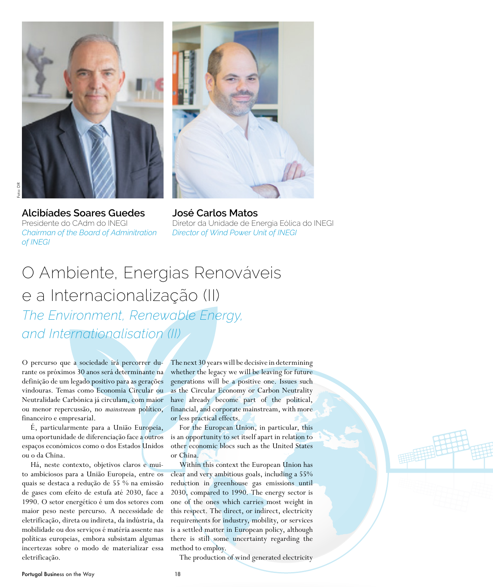

**Alcibíades Soares Guedes**  Presidente do CAdm do INEGI *Chairman of the Board of Adminitration of INEGI*



**José Carlos Matos** Diretor da Unidade de Energia Eólica do INEGI *Director of Wind Power Unit of INEGI*

## O Ambiente, Energias Renováveis e a Internacionalização (II) *The Environment, Renewable Energy, and Internationalisation (II)*

O percurso que a sociedade irá percorrer durante os próximos 30 anos será determinante na definição de um legado positivo para as gerações vindouras. Temas como Economia Circular ou Neutralidade Carbónica já circulam, com maior ou menor repercussão, no *mainstream* político, financeiro e empresarial.

É, particularmente para a União Europeia, uma oportunidade de diferenciação face a outros espaços económicos como o dos Estados Unidos ou o da China.

Há, neste contexto, objetivos claros e muito ambiciosos para a União Europeia, entre os quais se destaca a redução de 55 % na emissão de gases com efeito de estufa até 2030, face a 1990. O setor energético é um dos setores com maior peso neste percurso. A necessidade de eletrificação, direta ou indireta, da indústria, da mobilidade ou dos serviços é matéria assente nas políticas europeias, embora subsistam algumas incertezas sobre o modo de materializar essa eletrificação.

The next 30 years will be decisive in determining whether the legacy we will be leaving for future generations will be a positive one. Issues such as the Circular Economy or Carbon Neutrality have already become part of the political, financial, and corporate mainstream, with more or less practical effects.

For the European Union, in particular, this is an opportunity to set itself apart in relation to other economic blocs such as the United States or China.

Within this context the European Union has clear and very ambitious goals, including a 55% reduction in greenhouse gas emissions until 2030, compared to 1990. The energy sector is one of the ones which carries most weight in this respect. The direct, or indirect, electricity requirements for industry, mobility, or services is a settled matter in European policy, although there is still some uncertainty regarding the method to employ.

The production of wind generated electricity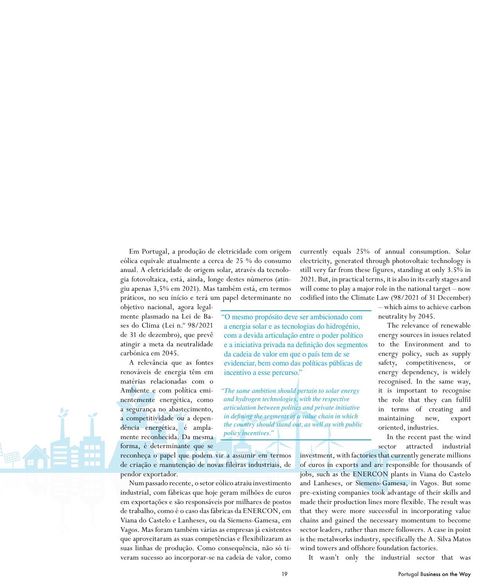Em Portugal, a produção de eletricidade com origem eólica equivale atualmente a cerca de 25 % do consumo anual. A eletricidade de origem solar, através da tecnologia fotovoltaica, está, ainda, longe destes números (atingiu apenas 3,5% em 2021). Mas também está, em termos práticos, no seu início e terá um papel determinante no

objetivo nacional, agora legalmente plasmado na Lei de Bases do Clima (Lei n.º 98/2021 de 31 de dezembro), que prevê atingir a meta da neutralidade carbónica em 2045.

A relevância que as fontes renováveis de energia têm em matérias relacionadas com o Ambiente e com política eminentemente energética, como a segurança no abastecimento, a competitividade ou a dependência energética, é amplamente reconhecida. Da mesma forma, é determinante que se

reconheça o papel que podem vir a assumir em termos de criação e manutenção de novas fileiras industriais, de pendor exportador.

Num passado recente, o setor eólico atraiu investimento industrial, com fábricas que hoje geram milhões de euros em exportações e são responsáveis por milhares de postos de trabalho, como é o caso das fábricas da ENERCON, em Viana do Castelo e Lanheses, ou da Siemens-Gamesa, em Vagos. Mas foram também várias as empresas já existentes que aproveitaram as suas competências e flexibilizaram as suas linhas de produção. Como consequência, não só tiveram sucesso ao incorporar-se na cadeia de valor, como

currently equals 25% of annual consumption. Solar electricity, generated through photovoltaic technology is still very far from these figures, standing at only 3.5% in 2021. But, in practical terms, it is also in its early stages and will come to play a major role in the national target – now codified into the Climate Law (98/2021 of 31 December)

"O mesmo propósito deve ser ambicionado com a energia solar e as tecnologias do hidrogénio, com a devida articulação entre o poder político e a iniciativa privada na definição dos segmentos da cadeia de valor em que o país tem de se evidenciar, bem como das políticas públicas de incentivo a esse percurso."

*"The same ambition should pertain to solar energy and hydrogen technologies, with the respective articulation between politics and private initiative in defining the segments of a value chain in which the country should stand out, as well as with public policy incentives."*

– which aims to achieve carbon neutrality by 2045.

The relevance of renewable energy sources in issues related to the Environment and to energy policy, such as supply safety, competitiveness, or energy dependency, is widely recognised. In the same way, it is important to recognise the role that they can fulfil in terms of creating and maintaining new, export oriented, industries.

In the recent past the wind sector attracted industrial

investment, with factories that currently generate millions of euros in exports and are responsible for thousands of jobs, such as the ENERCON plants in Viana do Castelo and Lanheses, or Siemens-Gamesa, in Vagos. But some pre-existing companies took advantage of their skills and made their production lines more flexible. The result was that they were more successful in incorporating value chains and gained the necessary momentum to become sector leaders, rather than mere followers. A case in point is the metalworks industry, specifically the A. Silva Matos wind towers and offshore foundation factories.

It wasn't only the industrial sector that was